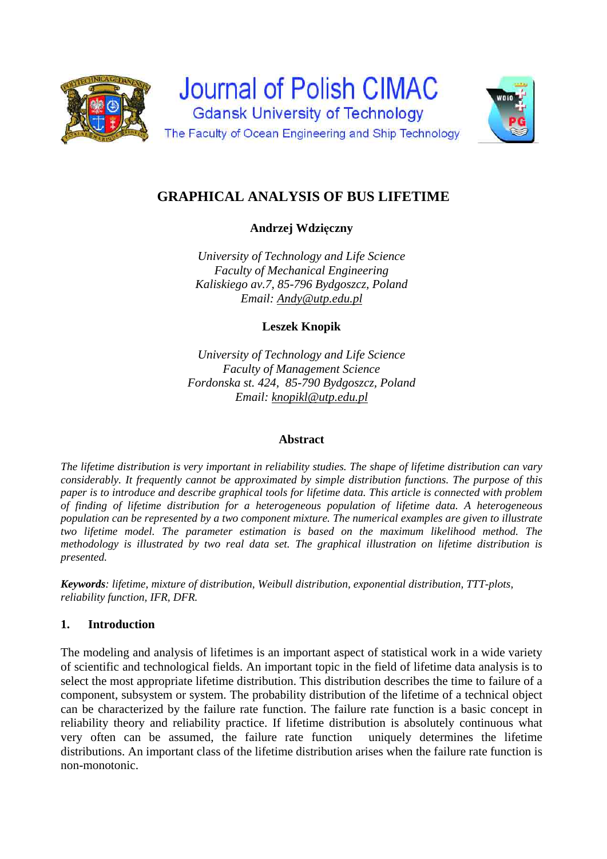



# **GRAPHICAL ANALYSIS OF BUS LIFETIME**

**Andrzej Wdzięczny** 

*University of Technology and Life Science Faculty of Mechanical Engineering Kaliskiego av.7, 85-796 Bydgoszcz, Poland Email: Andy@utp.edu.pl* 

**Leszek Knopik** 

*University of Technology and Life Science Faculty of Management Science Fordonska st. 424, 85-790 Bydgoszcz, Poland Email: knopikl@utp.edu.pl* 

# **Abstract**

*The lifetime distribution is very important in reliability studies. The shape of lifetime distribution can vary considerably. It frequently cannot be approximated by simple distribution functions. The purpose of this paper is to introduce and describe graphical tools for lifetime data. This article is connected with problem of finding of lifetime distribution for a heterogeneous population of lifetime data. A heterogeneous population can be represented by a two component mixture. The numerical examples are given to illustrate two lifetime model. The parameter estimation is based on the maximum likelihood method. The methodology is illustrated by two real data set. The graphical illustration on lifetime distribution is presented.* 

*Keywords: lifetime, mixture of distribution, Weibull distribution, exponential distribution, TTT-plots, reliability function, IFR, DFR.* 

# **1. Introduction**

The modeling and analysis of lifetimes is an important aspect of statistical work in a wide variety of scientific and technological fields. An important topic in the field of lifetime data analysis is to select the most appropriate lifetime distribution. This distribution describes the time to failure of a component, subsystem or system. The probability distribution of the lifetime of a technical object can be characterized by the failure rate function. The failure rate function is a basic concept in reliability theory and reliability practice. If lifetime distribution is absolutely continuous what very often can be assumed, the failure rate function uniquely determines the lifetime distributions. An important class of the lifetime distribution arises when the failure rate function is non-monotonic.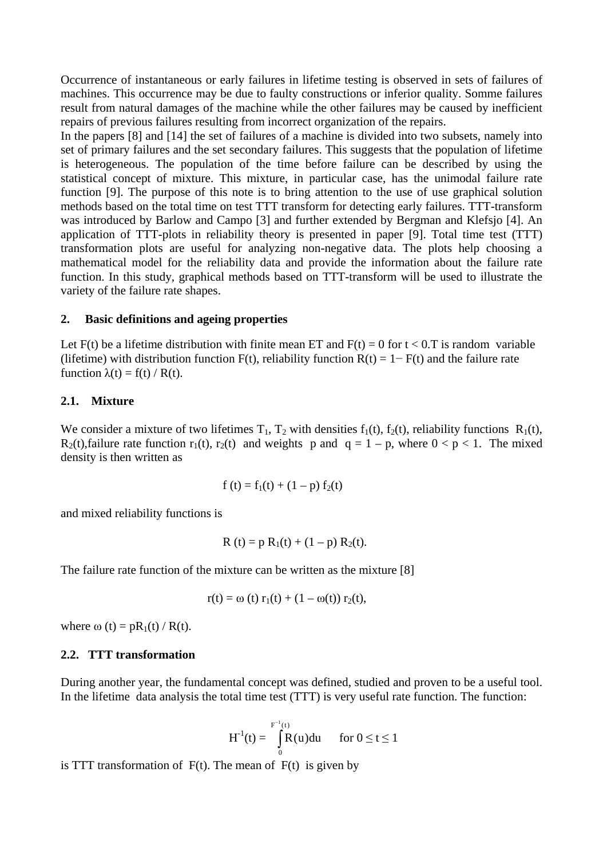Occurrence of instantaneous or early failures in lifetime testing is observed in sets of failures of machines. This occurrence may be due to faulty constructions or inferior quality. Somme failures result from natural damages of the machine while the other failures may be caused by inefficient repairs of previous failures resulting from incorrect organization of the repairs.

In the papers [8] and [14] the set of failures of a machine is divided into two subsets, namely into set of primary failures and the set secondary failures. This suggests that the population of lifetime is heterogeneous. The population of the time before failure can be described by using the statistical concept of mixture. This mixture, in particular case, has the unimodal failure rate function [9]. The purpose of this note is to bring attention to the use of use graphical solution methods based on the total time on test TTT transform for detecting early failures. TTT-transform was introduced by Barlow and Campo [3] and further extended by Bergman and Klefsjo [4]. An application of TTT-plots in reliability theory is presented in paper [9]. Total time test (TTT) transformation plots are useful for analyzing non-negative data. The plots help choosing a mathematical model for the reliability data and provide the information about the failure rate function. In this study, graphical methods based on TTT-transform will be used to illustrate the variety of the failure rate shapes.

## **2. Basic definitions and ageing properties**

Let  $F(t)$  be a lifetime distribution with finite mean ET and  $F(t) = 0$  for  $t < 0$ . T is random variable (lifetime) with distribution function F(t), reliability function  $R(t) = 1 - F(t)$  and the failure rate function  $\lambda(t) = f(t) / R(t)$ .

### **2.1. Mixture**

We consider a mixture of two lifetimes  $T_1$ ,  $T_2$  with densities  $f_1(t)$ ,  $f_2(t)$ , reliability functions  $R_1(t)$ ,  $R_2(t)$ , failure rate function  $r_1(t)$ ,  $r_2(t)$  and weights p and  $q = 1 - p$ , where  $0 < p < 1$ . The mixed density is then written as

$$
f(t) = f_1(t) + (1 - p) f_2(t)
$$

and mixed reliability functions is

$$
R(t) = p R_1(t) + (1 - p) R_2(t).
$$

The failure rate function of the mixture can be written as the mixture [8]

$$
r(t) = \omega(t) r_1(t) + (1 - \omega(t)) r_2(t),
$$

where  $\omega(t) = pR_1(t) / R(t)$ .

### **2.2. TTT transformation**

During another year, the fundamental concept was defined, studied and proven to be a useful tool. In the lifetime data analysis the total time test (TTT) is very useful rate function. The function:

$$
H^{-1}(t) = \int_{0}^{F^{-1}(t)} R(u) du \quad \text{for } 0 \le t \le 1
$$

is TTT transformation of  $F(t)$ . The mean of  $F(t)$  is given by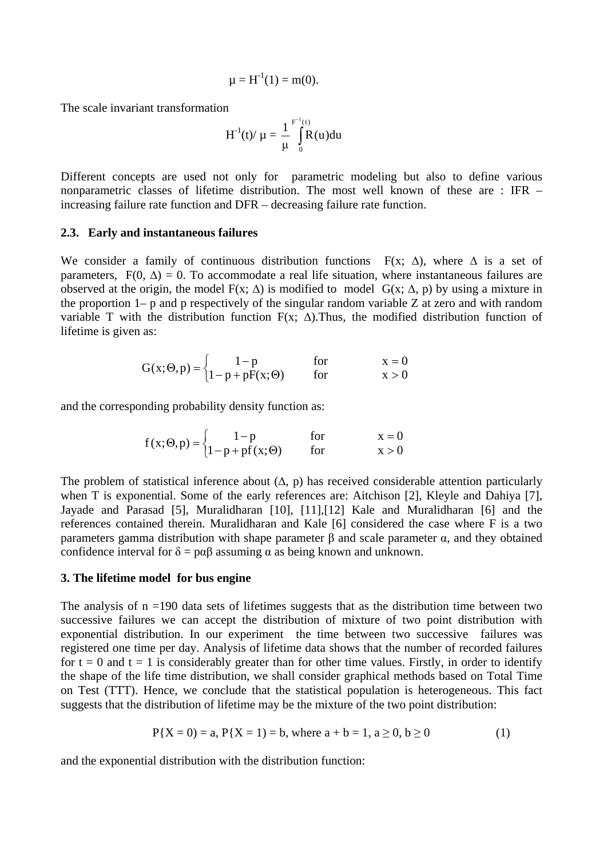$$
\mu = H^{-1}(1) = m(0).
$$

The scale invariant transformation

$$
H^{-1}(t)/\mu = \frac{1}{\mu} \int_{0}^{F^{-1}(t)} R(u) du
$$

Different concepts are used not only for parametric modeling but also to define various nonparametric classes of lifetime distribution. The most well known of these are : IFR – increasing failure rate function and DFR – decreasing failure rate function.

#### **2.3. Early and instantaneous failures**

We consider a family of continuous distribution functions  $F(x; \Delta)$ , where  $\Delta$  is a set of parameters,  $F(0, \Delta) = 0$ . To accommodate a real life situation, where instantaneous failures are observed at the origin, the model  $F(x; \Delta)$  is modified to model  $G(x; \Delta, p)$  by using a mixture in the proportion 1– p and p respectively of the singular random variable Z at zero and with random variable T with the distribution function F(x;  $\Delta$ ). Thus, the modified distribution function of lifetime is given as:

$$
G(x; \Theta, p) = \begin{cases} 1-p & \text{for} & x = 0\\ 1-p+pF(x; \Theta) & \text{for} & x > 0 \end{cases}
$$

and the corresponding probability density function as:

$$
f(x; \Theta, p) = \begin{cases} 1-p & \text{for} & x = 0\\ 1-p+pf(x; \Theta) & \text{for} & x > 0 \end{cases}
$$

The problem of statistical inference about  $(∆, p)$  has received considerable attention particularly when T is exponential. Some of the early references are: Aitchison [2], Kleyle and Dahiya [7], Jayade and Parasad [5], Muralidharan [10], [11],[12] Kale and Muralidharan [6] and the references contained therein. Muralidharan and Kale [6] considered the case where F is a two parameters gamma distribution with shape parameter β and scale parameter α, and they obtained confidence interval for  $\delta = \rho \alpha \beta$  assuming  $\alpha$  as being known and unknown.

### **3. The lifetime model for bus engine**

The analysis of  $n = 190$  data sets of lifetimes suggests that as the distribution time between two successive failures we can accept the distribution of mixture of two point distribution with exponential distribution. In our experiment the time between two successive failures was registered one time per day. Analysis of lifetime data shows that the number of recorded failures for  $t = 0$  and  $t = 1$  is considerably greater than for other time values. Firstly, in order to identify the shape of the life time distribution, we shall consider graphical methods based on Total Time on Test (TTT). Hence, we conclude that the statistical population is heterogeneous. This fact suggests that the distribution of lifetime may be the mixture of the two point distribution:

$$
P{X = 0} = a, P{X = 1} = b, where a + b = 1, a \ge 0, b \ge 0
$$
 (1)

and the exponential distribution with the distribution function: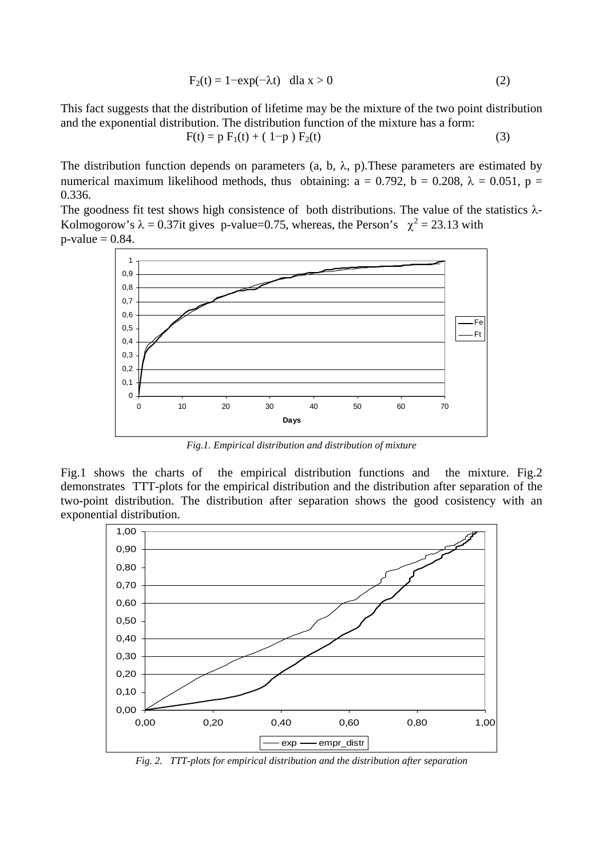$$
F_2(t) = 1 - \exp(-\lambda t) \quad \text{d}l a \ge 0 \tag{2}
$$

This fact suggests that the distribution of lifetime may be the mixture of the two point distribution and the exponential distribution. The distribution function of the mixture has a form:

$$
F(t) = p F1(t) + (1-p) F2(t)
$$
 (3)

The distribution function depends on parameters (a, b,  $\lambda$ , p). These parameters are estimated by numerical maximum likelihood methods, thus obtaining:  $a = 0.792$ ,  $b = 0.208$ ,  $\lambda = 0.051$ ,  $p =$ 0.336.

The goodness fit test shows high consistence of both distributions. The value of the statistics  $\lambda$ -Kolmogorow's  $\lambda = 0.37$ it gives p-value=0.75, whereas, the Person's  $\chi^2 = 23.13$  with  $p$ -value = 0.84.



*Fig.1. Empirical distribution and distribution of mixture* 

Fig.1 shows the charts of the empirical distribution functions and the mixture. Fig.2 demonstrates TTT-plots for the empirical distribution and the distribution after separation of the two-point distribution. The distribution after separation shows the good cosistency with an exponential distribution.



*Fig. 2. TTT-plots for empirical distribution and the distribution after separation*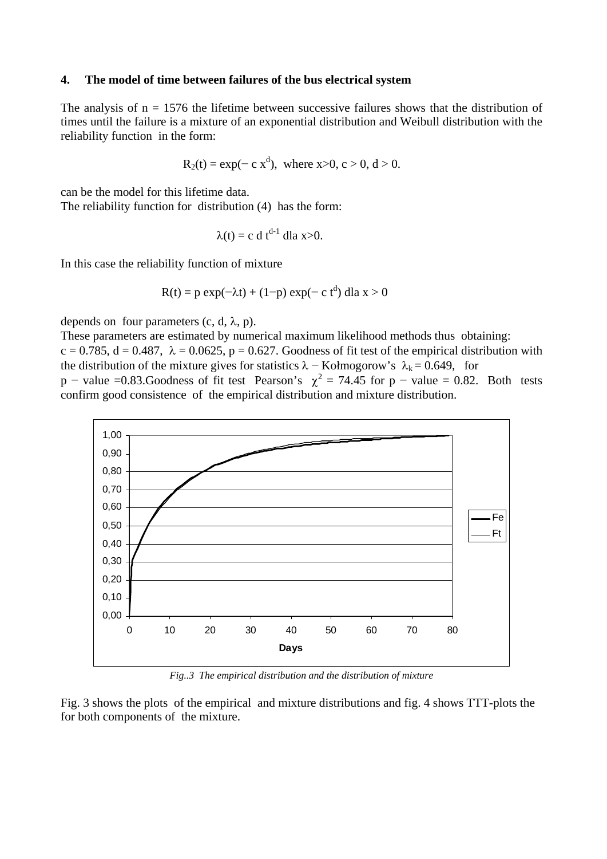### **4. The model of time between failures of the bus electrical system**

The analysis of  $n = 1576$  the lifetime between successive failures shows that the distribution of times until the failure is a mixture of an exponential distribution and Weibull distribution with the reliability function in the form:

$$
R_2(t) = \exp(-c x^d)
$$
, where x>0, c > 0, d > 0.

can be the model for this lifetime data.

The reliability function for distribution (4) has the form:

$$
\lambda(t) = c \, d \, t^{d-1} \, dla \, x > 0.
$$

In this case the reliability function of mixture

$$
R(t) = p \exp(-\lambda t) + (1-p) \exp(-c t^d) \, \text{d}a \, x > 0
$$

depends on four parameters  $(c, d, \lambda, p)$ .

These parameters are estimated by numerical maximum likelihood methods thus obtaining:  $c = 0.785$ ,  $d = 0.487$ ,  $\lambda = 0.0625$ ,  $p = 0.627$ . Goodness of fit test of the empirical distribution with the distribution of the mixture gives for statistics  $\lambda$  – Kołmogorow's  $\lambda_k$  = 0.649, for p – value =0.83. Goodness of fit test Pearson's  $\chi^2 = 74.45$  for p – value = 0.82. Both tests confirm good consistence of the empirical distribution and mixture distribution.



*Fig..3 The empirical distribution and the distribution of mixture* 

Fig. 3 shows the plots of the empirical and mixture distributions and fig. 4 shows TTT-plots the for both components of the mixture.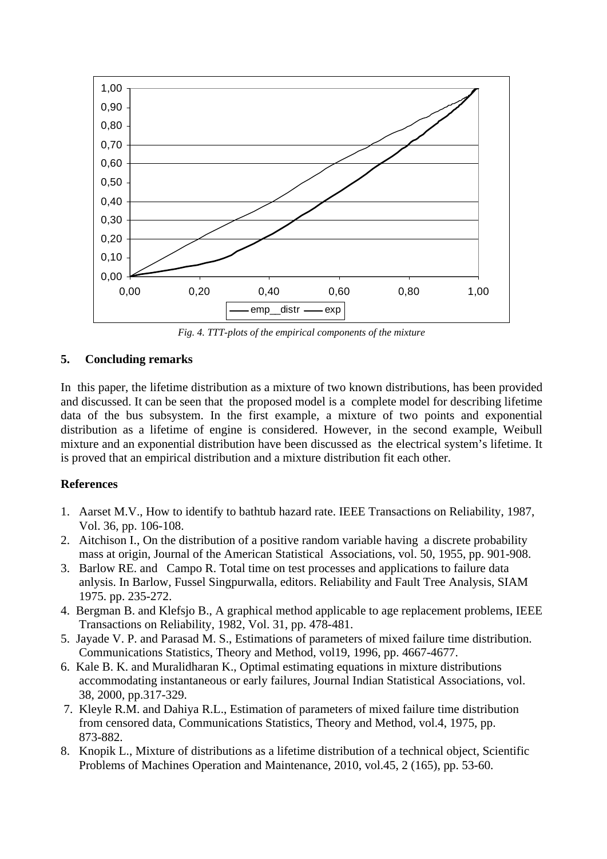

*Fig. 4. TTT-plots of the empirical components of the mixture* 

# **5. Concluding remarks**

In this paper, the lifetime distribution as a mixture of two known distributions, has been provided and discussed. It can be seen that the proposed model is a complete model for describing lifetime data of the bus subsystem. In the first example, a mixture of two points and exponential distribution as a lifetime of engine is considered. However, in the second example, Weibull mixture and an exponential distribution have been discussed as the electrical system's lifetime. It is proved that an empirical distribution and a mixture distribution fit each other.

# **References**

- 1. Aarset M.V., How to identify to bathtub hazard rate. IEEE Transactions on Reliability, 1987, Vol. 36, pp. 106-108.
- 2. Aitchison I., On the distribution of a positive random variable having a discrete probability mass at origin, Journal of the American Statistical Associations, vol. 50, 1955, pp. 901-908.
- 3. Barlow RE. and Campo R. Total time on test processes and applications to failure data anlysis. In Barlow, Fussel Singpurwalla, editors. Reliability and Fault Tree Analysis, SIAM 1975. pp. 235-272.
- 4. Bergman B. and Klefsjo B., A graphical method applicable to age replacement problems, IEEE Transactions on Reliability, 1982, Vol. 31, pp. 478-481.
- 5. Jayade V. P. and Parasad M. S., Estimations of parameters of mixed failure time distribution. Communications Statistics, Theory and Method, vol19, 1996, pp. 4667-4677.
- 6. Kale B. K. and Muralidharan K., Optimal estimating equations in mixture distributions accommodating instantaneous or early failures, Journal Indian Statistical Associations, vol. 38, 2000, pp.317-329.
- 7. Kleyle R.M. and Dahiya R.L., Estimation of parameters of mixed failure time distribution from censored data, Communications Statistics, Theory and Method, vol.4, 1975, pp. 873-882.
- 8. Knopik L., Mixture of distributions as a lifetime distribution of a technical object, Scientific Problems of Machines Operation and Maintenance, 2010, vol.45, 2 (165), pp. 53-60.